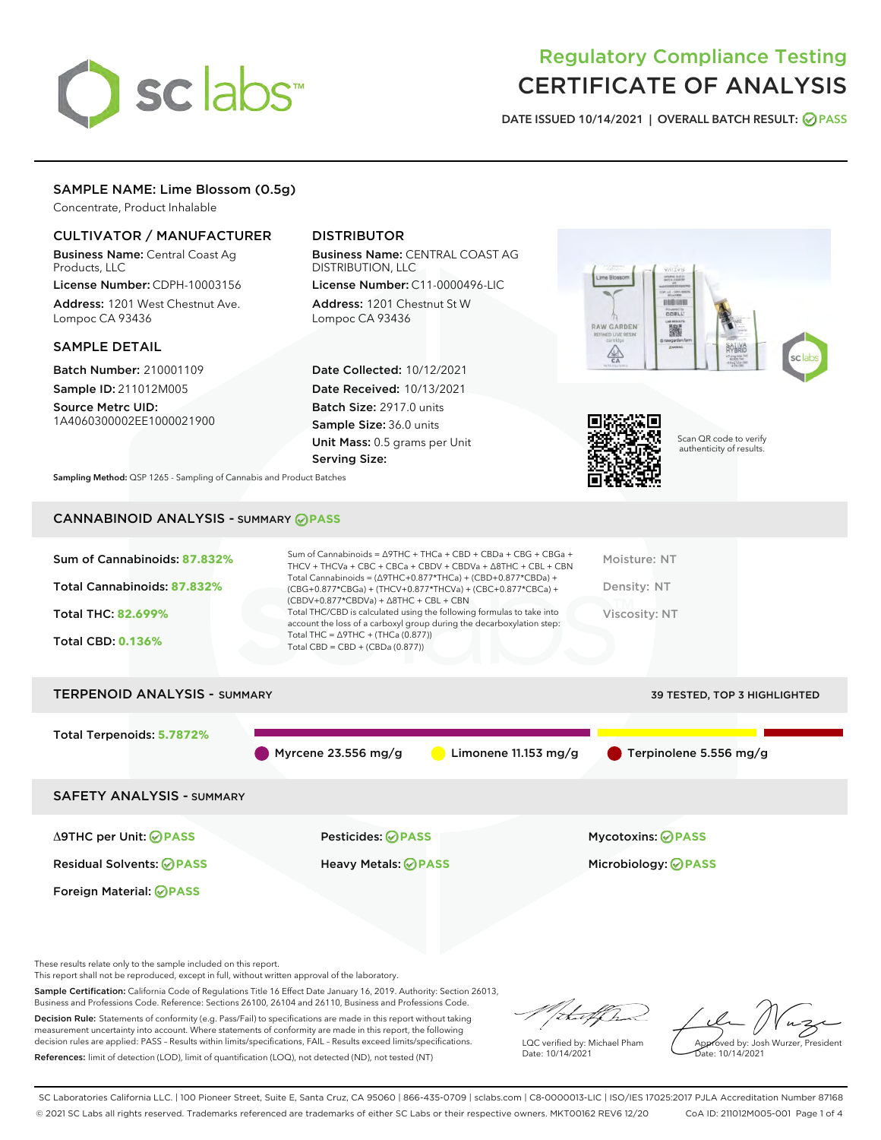

# Regulatory Compliance Testing CERTIFICATE OF ANALYSIS

DATE ISSUED 10/14/2021 | OVERALL BATCH RESULT: @ PASS

# SAMPLE NAME: Lime Blossom (0.5g)

Concentrate, Product Inhalable

# CULTIVATOR / MANUFACTURER

Business Name: Central Coast Ag Products, LLC

License Number: CDPH-10003156 Address: 1201 West Chestnut Ave. Lompoc CA 93436

#### SAMPLE DETAIL

Batch Number: 210001109 Sample ID: 211012M005

Source Metrc UID: 1A4060300002EE1000021900

# DISTRIBUTOR

Business Name: CENTRAL COAST AG DISTRIBUTION, LLC License Number: C11-0000496-LIC

Address: 1201 Chestnut St W Lompoc CA 93436

Date Collected: 10/12/2021 Date Received: 10/13/2021 Batch Size: 2917.0 units Sample Size: 36.0 units Unit Mass: 0.5 grams per Unit Serving Size:





Scan QR code to verify authenticity of results.

Sampling Method: QSP 1265 - Sampling of Cannabis and Product Batches

# CANNABINOID ANALYSIS - SUMMARY **PASS**

| Sum of Cannabinoids: 87.832%<br>Total Cannabinoids: 87.832%<br>Total THC: 82.699%<br><b>Total CBD: 0.136%</b> | Sum of Cannabinoids = $\triangle$ 9THC + THCa + CBD + CBDa + CBG + CBGa +<br>THCV + THCVa + CBC + CBCa + CBDV + CBDVa + $\Delta$ 8THC + CBL + CBN<br>Total Cannabinoids = $(\Delta$ 9THC+0.877*THCa) + (CBD+0.877*CBDa) +<br>(CBG+0.877*CBGa) + (THCV+0.877*THCVa) + (CBC+0.877*CBCa) +<br>$(CBDV+0.877*CBDVa) + \Delta 8THC + CBL + CBN$<br>Total THC/CBD is calculated using the following formulas to take into<br>account the loss of a carboxyl group during the decarboxylation step:<br>Total THC = $\triangle$ 9THC + (THCa (0.877))<br>Total CBD = $CBD + (CBDa (0.877))$ | Moisture: NT<br>Density: NT<br><b>Viscosity: NT</b> |  |  |  |
|---------------------------------------------------------------------------------------------------------------|------------------------------------------------------------------------------------------------------------------------------------------------------------------------------------------------------------------------------------------------------------------------------------------------------------------------------------------------------------------------------------------------------------------------------------------------------------------------------------------------------------------------------------------------------------------------------------|-----------------------------------------------------|--|--|--|
| <b>TERPENOID ANALYSIS - SUMMARY</b><br>39 TESTED, TOP 3 HIGHLIGHTED                                           |                                                                                                                                                                                                                                                                                                                                                                                                                                                                                                                                                                                    |                                                     |  |  |  |
| Total Terpenoids: 5.7872%                                                                                     | Myrcene $23.556$ mg/g<br>Limonene 11.153 mg/g                                                                                                                                                                                                                                                                                                                                                                                                                                                                                                                                      | Terpinolene 5.556 mg/g                              |  |  |  |
| <b>SAFETY ANALYSIS - SUMMARY</b>                                                                              |                                                                                                                                                                                                                                                                                                                                                                                                                                                                                                                                                                                    |                                                     |  |  |  |
| ∆9THC per Unit: ⊘PASS                                                                                         | Pesticides: ⊘PASS                                                                                                                                                                                                                                                                                                                                                                                                                                                                                                                                                                  | <b>Mycotoxins: ⊘PASS</b>                            |  |  |  |

Residual Solvents: **PASS** Heavy Metals: **PASS** Microbiology: **PASS**

These results relate only to the sample included on this report.

Foreign Material: **PASS**

This report shall not be reproduced, except in full, without written approval of the laboratory.

Sample Certification: California Code of Regulations Title 16 Effect Date January 16, 2019. Authority: Section 26013, Business and Professions Code. Reference: Sections 26100, 26104 and 26110, Business and Professions Code.

Decision Rule: Statements of conformity (e.g. Pass/Fail) to specifications are made in this report without taking measurement uncertainty into account. Where statements of conformity are made in this report, the following decision rules are applied: PASS – Results within limits/specifications, FAIL – Results exceed limits/specifications. References: limit of detection (LOD), limit of quantification (LOQ), not detected (ND), not tested (NT)

that f ha

LQC verified by: Michael Pham Date: 10/14/2021

Approved by: Josh Wurzer, President Date: 10/14/2021

SC Laboratories California LLC. | 100 Pioneer Street, Suite E, Santa Cruz, CA 95060 | 866-435-0709 | sclabs.com | C8-0000013-LIC | ISO/IES 17025:2017 PJLA Accreditation Number 87168 © 2021 SC Labs all rights reserved. Trademarks referenced are trademarks of either SC Labs or their respective owners. MKT00162 REV6 12/20 CoA ID: 211012M005-001 Page 1 of 4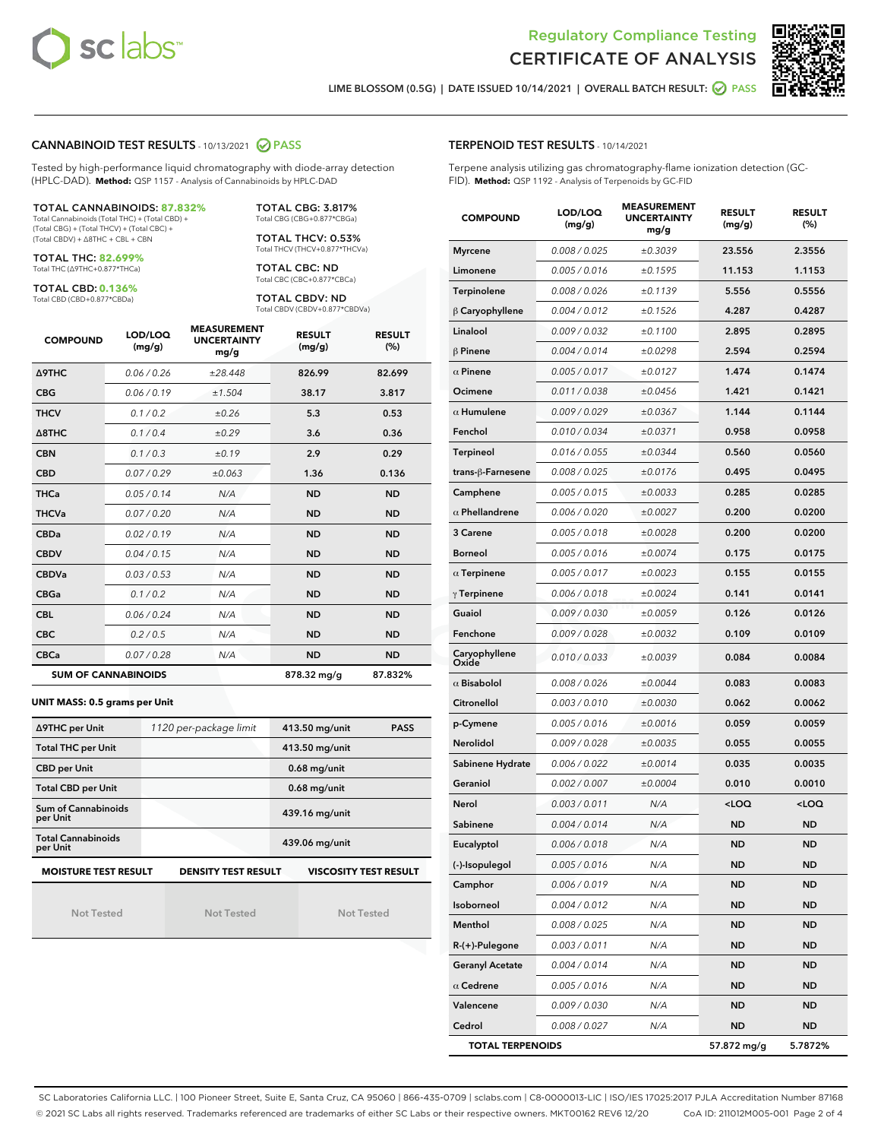



LIME BLOSSOM (0.5G) | DATE ISSUED 10/14/2021 | OVERALL BATCH RESULT: **○** PASS

#### CANNABINOID TEST RESULTS - 10/13/2021 2 PASS

Tested by high-performance liquid chromatography with diode-array detection (HPLC-DAD). **Method:** QSP 1157 - Analysis of Cannabinoids by HPLC-DAD

#### TOTAL CANNABINOIDS: **87.832%**

Total Cannabinoids (Total THC) + (Total CBD) + (Total CBG) + (Total THCV) + (Total CBC) + (Total CBDV) + ∆8THC + CBL + CBN

TOTAL THC: **82.699%** Total THC (∆9THC+0.877\*THCa)

TOTAL CBD: **0.136%**

Total CBD (CBD+0.877\*CBDa)

TOTAL CBG: 3.817% Total CBG (CBG+0.877\*CBGa)

TOTAL THCV: 0.53% Total THCV (THCV+0.877\*THCVa)

TOTAL CBC: ND Total CBC (CBC+0.877\*CBCa)

TOTAL CBDV: ND Total CBDV (CBDV+0.877\*CBDVa)

| <b>COMPOUND</b>            | LOD/LOQ<br>(mg/g) | <b>MEASUREMENT</b><br><b>UNCERTAINTY</b><br>mg/g | <b>RESULT</b><br>(mg/g) | <b>RESULT</b><br>(%) |
|----------------------------|-------------------|--------------------------------------------------|-------------------------|----------------------|
| <b>A9THC</b>               | 0.06 / 0.26       | ±28.448                                          | 826.99                  | 82.699               |
| <b>CBG</b>                 | 0.06/0.19         | ±1.504                                           | 38.17                   | 3.817                |
| <b>THCV</b>                | 0.1 / 0.2         | ±0.26                                            | 5.3                     | 0.53                 |
| $\triangle$ 8THC           | 0.1/0.4           | ±0.29                                            | 3.6                     | 0.36                 |
| <b>CBN</b>                 | 0.1/0.3           | ±0.19                                            | 2.9                     | 0.29                 |
| <b>CBD</b>                 | 0.07/0.29         | ±0.063                                           | 1.36                    | 0.136                |
| <b>THCa</b>                | 0.05/0.14         | N/A                                              | <b>ND</b>               | <b>ND</b>            |
| <b>THCVa</b>               | 0.07/0.20         | N/A                                              | <b>ND</b>               | <b>ND</b>            |
| <b>CBDa</b>                | 0.02/0.19         | N/A                                              | <b>ND</b>               | <b>ND</b>            |
| <b>CBDV</b>                | 0.04 / 0.15       | N/A                                              | <b>ND</b>               | <b>ND</b>            |
| <b>CBDVa</b>               | 0.03/0.53         | N/A                                              | <b>ND</b>               | <b>ND</b>            |
| <b>CBGa</b>                | 0.1 / 0.2         | N/A                                              | <b>ND</b>               | <b>ND</b>            |
| <b>CBL</b>                 | 0.06 / 0.24       | N/A                                              | <b>ND</b>               | <b>ND</b>            |
| <b>CBC</b>                 | 0.2 / 0.5         | N/A                                              | <b>ND</b>               | <b>ND</b>            |
| <b>CBCa</b>                | 0.07 / 0.28       | N/A                                              | <b>ND</b>               | <b>ND</b>            |
| <b>SUM OF CANNABINOIDS</b> |                   |                                                  | 878.32 mg/g             | 87.832%              |

#### **UNIT MASS: 0.5 grams per Unit**

| ∆9THC per Unit                        | 1120 per-package limit     | 413.50 mg/unit<br><b>PASS</b> |
|---------------------------------------|----------------------------|-------------------------------|
| <b>Total THC per Unit</b>             |                            | 413.50 mg/unit                |
| <b>CBD per Unit</b>                   |                            | $0.68$ mg/unit                |
| <b>Total CBD per Unit</b>             |                            | $0.68$ mg/unit                |
| Sum of Cannabinoids<br>per Unit       |                            | 439.16 mg/unit                |
| <b>Total Cannabinoids</b><br>per Unit |                            | 439.06 mg/unit                |
| <b>MOISTURE TEST RESULT</b>           | <b>DENSITY TEST RESULT</b> | <b>VISCOSITY TEST RESULT</b>  |

Not Tested

Not Tested

Not Tested

#### TERPENOID TEST RESULTS - 10/14/2021

Terpene analysis utilizing gas chromatography-flame ionization detection (GC-FID). **Method:** QSP 1192 - Analysis of Terpenoids by GC-FID

| <b>COMPOUND</b>         | LOD/LOQ<br>(mg/g) | <b>MEASUREMENT</b><br><b>UNCERTAINTY</b><br>mg/g | <b>RESULT</b><br>(mg/g)                         | <b>RESULT</b><br>(%) |
|-------------------------|-------------------|--------------------------------------------------|-------------------------------------------------|----------------------|
| <b>Myrcene</b>          | 0.008 / 0.025     | ±0.3039                                          | 23.556                                          | 2.3556               |
| Limonene                | 0.005 / 0.016     | ±0.1595                                          | 11.153                                          | 1.1153               |
| Terpinolene             | 0.008 / 0.026     | ±0.1139                                          | 5.556                                           | 0.5556               |
| $\beta$ Caryophyllene   | 0.004 / 0.012     | ±0.1526                                          | 4.287                                           | 0.4287               |
| Linalool                | 0.009 / 0.032     | ±0.1100                                          | 2.895                                           | 0.2895               |
| $\beta$ Pinene          | 0.004 / 0.014     | ±0.0298                                          | 2.594                                           | 0.2594               |
| $\alpha$ Pinene         | 0.005 / 0.017     | ±0.0127                                          | 1.474                                           | 0.1474               |
| Ocimene                 | 0.011 / 0.038     | ±0.0456                                          | 1.421                                           | 0.1421               |
| $\alpha$ Humulene       | 0.009 / 0.029     | ±0.0367                                          | 1.144                                           | 0.1144               |
| Fenchol                 | 0.010 / 0.034     | ±0.0371                                          | 0.958                                           | 0.0958               |
| Terpineol               | 0.016 / 0.055     | ±0.0344                                          | 0.560                                           | 0.0560               |
| trans-ß-Farnesene       | 0.008 / 0.025     | ±0.0176                                          | 0.495                                           | 0.0495               |
| Camphene                | 0.005 / 0.015     | ±0.0033                                          | 0.285                                           | 0.0285               |
| $\alpha$ Phellandrene   | 0.006 / 0.020     | ±0.0027                                          | 0.200                                           | 0.0200               |
| 3 Carene                | 0.005 / 0.018     | ±0.0028                                          | 0.200                                           | 0.0200               |
| <b>Borneol</b>          | 0.005 / 0.016     | ±0.0074                                          | 0.175                                           | 0.0175               |
| $\alpha$ Terpinene      | 0.005 / 0.017     | ±0.0023                                          | 0.155                                           | 0.0155               |
| $\gamma$ Terpinene      | 0.006 / 0.018     | ±0.0024                                          | 0.141                                           | 0.0141               |
| Guaiol                  | 0.009 / 0.030     | ±0.0059                                          | 0.126                                           | 0.0126               |
| Fenchone                | 0.009 / 0.028     | ±0.0032                                          | 0.109                                           | 0.0109               |
| Caryophyllene<br>Oxide  | 0.010 / 0.033     | ±0.0039                                          | 0.084                                           | 0.0084               |
| $\alpha$ Bisabolol      | 0.008 / 0.026     | ±0.0044                                          | 0.083                                           | 0.0083               |
| Citronellol             | 0.003 / 0.010     | ±0.0030                                          | 0.062                                           | 0.0062               |
| p-Cymene                | 0.005 / 0.016     | ±0.0016                                          | 0.059                                           | 0.0059               |
| Nerolidol               | 0.009 / 0.028     | ±0.0035                                          | 0.055                                           | 0.0055               |
| Sabinene Hydrate        | 0.006 / 0.022     | ±0.0014                                          | 0.035                                           | 0.0035               |
| Geraniol                | 0.002 / 0.007     | ±0.0004                                          | 0.010                                           | 0.0010               |
| Nerol                   | 0.003 / 0.011     | N/A                                              | <loq< th=""><th><loq< th=""></loq<></th></loq<> | <loq< th=""></loq<>  |
| Sabinene                | 0.004 / 0.014     | N/A                                              | ND                                              | <b>ND</b>            |
| Eucalyptol              | 0.006 / 0.018     | N/A                                              | <b>ND</b>                                       | <b>ND</b>            |
| (-)-Isopulegol          | 0.005 / 0.016     | N/A                                              | ND                                              | <b>ND</b>            |
| Camphor                 | 0.006 / 0.019     | N/A                                              | ND                                              | ND                   |
| Isoborneol              | 0.004 / 0.012     | N/A                                              | ND                                              | <b>ND</b>            |
| Menthol                 | 0.008 / 0.025     | N/A                                              | <b>ND</b>                                       | <b>ND</b>            |
| R-(+)-Pulegone          | 0.003 / 0.011     | N/A                                              | ND                                              | ND                   |
| <b>Geranyl Acetate</b>  | 0.004 / 0.014     | N/A                                              | ND                                              | ND                   |
| $\alpha$ Cedrene        | 0.005 / 0.016     | N/A                                              | <b>ND</b>                                       | <b>ND</b>            |
| Valencene               | 0.009 / 0.030     | N/A                                              | ND                                              | ND                   |
| Cedrol                  | 0.008 / 0.027     | N/A                                              | <b>ND</b>                                       | <b>ND</b>            |
| <b>TOTAL TERPENOIDS</b> |                   |                                                  | 57.872 mg/g                                     | 5.7872%              |

SC Laboratories California LLC. | 100 Pioneer Street, Suite E, Santa Cruz, CA 95060 | 866-435-0709 | sclabs.com | C8-0000013-LIC | ISO/IES 17025:2017 PJLA Accreditation Number 87168 © 2021 SC Labs all rights reserved. Trademarks referenced are trademarks of either SC Labs or their respective owners. MKT00162 REV6 12/20 CoA ID: 211012M005-001 Page 2 of 4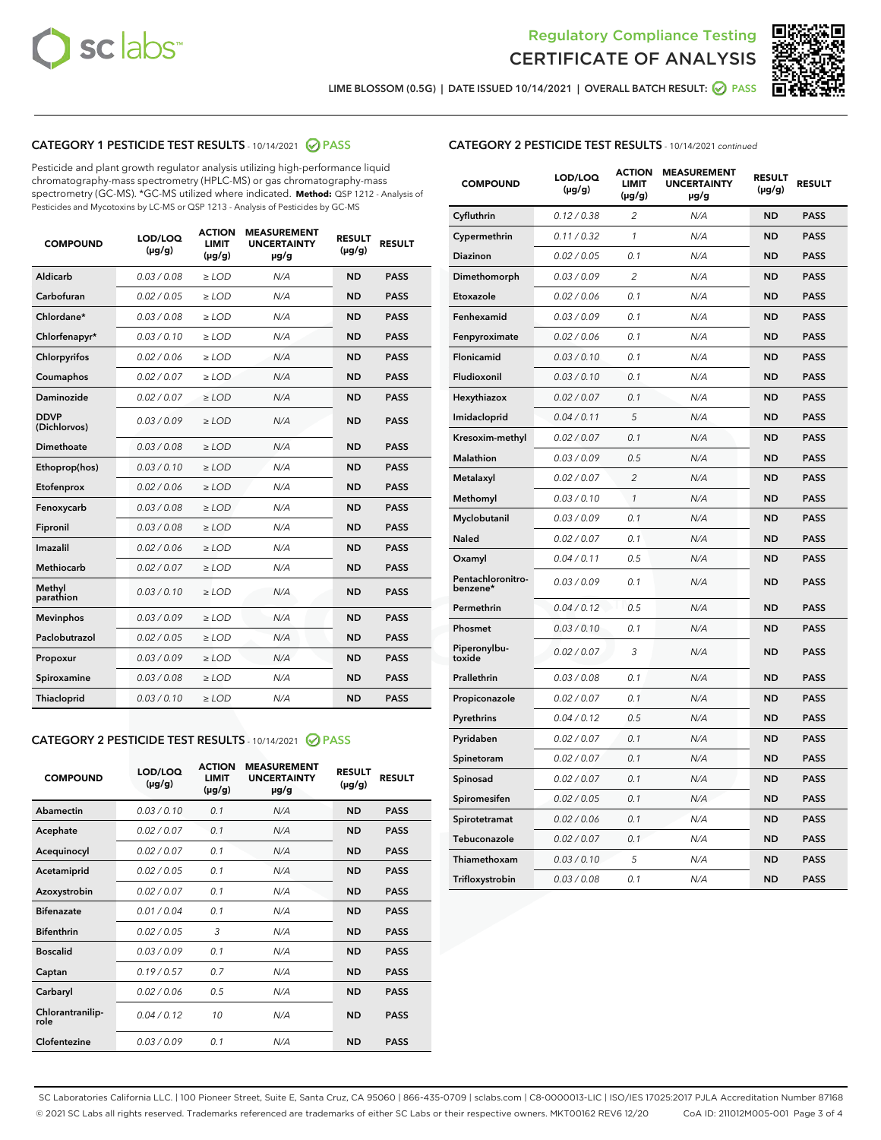



LIME BLOSSOM (0.5G) | DATE ISSUED 10/14/2021 | OVERALL BATCH RESULT:  $\bigcirc$  PASS

# CATEGORY 1 PESTICIDE TEST RESULTS - 10/14/2021 2 PASS

Pesticide and plant growth regulator analysis utilizing high-performance liquid chromatography-mass spectrometry (HPLC-MS) or gas chromatography-mass spectrometry (GC-MS). \*GC-MS utilized where indicated. **Method:** QSP 1212 - Analysis of Pesticides and Mycotoxins by LC-MS or QSP 1213 - Analysis of Pesticides by GC-MS

| <b>COMPOUND</b>             | LOD/LOQ<br>$(\mu g/g)$ | <b>ACTION</b><br><b>LIMIT</b><br>$(\mu g/g)$ | <b>MEASUREMENT</b><br><b>UNCERTAINTY</b><br>$\mu$ g/g | <b>RESULT</b><br>$(\mu g/g)$ | <b>RESULT</b> |
|-----------------------------|------------------------|----------------------------------------------|-------------------------------------------------------|------------------------------|---------------|
| Aldicarb                    | 0.03 / 0.08            | $\ge$ LOD                                    | N/A                                                   | <b>ND</b>                    | <b>PASS</b>   |
| Carbofuran                  | 0.02/0.05              | $>$ LOD                                      | N/A                                                   | <b>ND</b>                    | <b>PASS</b>   |
| Chlordane*                  | 0.03 / 0.08            | $\ge$ LOD                                    | N/A                                                   | <b>ND</b>                    | <b>PASS</b>   |
| Chlorfenapyr*               | 0.03/0.10              | $\ge$ LOD                                    | N/A                                                   | <b>ND</b>                    | <b>PASS</b>   |
| Chlorpyrifos                | 0.02 / 0.06            | $\ge$ LOD                                    | N/A                                                   | <b>ND</b>                    | <b>PASS</b>   |
| Coumaphos                   | 0.02 / 0.07            | $>$ LOD                                      | N/A                                                   | <b>ND</b>                    | <b>PASS</b>   |
| Daminozide                  | 0.02 / 0.07            | $\ge$ LOD                                    | N/A                                                   | <b>ND</b>                    | <b>PASS</b>   |
| <b>DDVP</b><br>(Dichlorvos) | 0.03/0.09              | $\ge$ LOD                                    | N/A                                                   | <b>ND</b>                    | <b>PASS</b>   |
| <b>Dimethoate</b>           | 0.03/0.08              | $\ge$ LOD                                    | N/A                                                   | <b>ND</b>                    | <b>PASS</b>   |
| Ethoprop(hos)               | 0.03/0.10              | $\ge$ LOD                                    | N/A                                                   | <b>ND</b>                    | <b>PASS</b>   |
| Etofenprox                  | 0.02/0.06              | $>$ LOD                                      | N/A                                                   | <b>ND</b>                    | <b>PASS</b>   |
| Fenoxycarb                  | 0.03 / 0.08            | $\ge$ LOD                                    | N/A                                                   | <b>ND</b>                    | <b>PASS</b>   |
| Fipronil                    | 0.03 / 0.08            | $>$ LOD                                      | N/A                                                   | <b>ND</b>                    | <b>PASS</b>   |
| Imazalil                    | 0.02 / 0.06            | $\ge$ LOD                                    | N/A                                                   | <b>ND</b>                    | <b>PASS</b>   |
| <b>Methiocarb</b>           | 0.02 / 0.07            | $\ge$ LOD                                    | N/A                                                   | <b>ND</b>                    | <b>PASS</b>   |
| Methyl<br>parathion         | 0.03/0.10              | $\ge$ LOD                                    | N/A                                                   | <b>ND</b>                    | <b>PASS</b>   |
| <b>Mevinphos</b>            | 0.03/0.09              | $>$ LOD                                      | N/A                                                   | <b>ND</b>                    | <b>PASS</b>   |
| Paclobutrazol               | 0.02 / 0.05            | $\ge$ LOD                                    | N/A                                                   | <b>ND</b>                    | <b>PASS</b>   |
| Propoxur                    | 0.03 / 0.09            | $\ge$ LOD                                    | N/A                                                   | <b>ND</b>                    | <b>PASS</b>   |
| Spiroxamine                 | 0.03 / 0.08            | $\ge$ LOD                                    | N/A                                                   | <b>ND</b>                    | <b>PASS</b>   |
| <b>Thiacloprid</b>          | 0.03/0.10              | $\ge$ LOD                                    | N/A                                                   | <b>ND</b>                    | <b>PASS</b>   |

## CATEGORY 2 PESTICIDE TEST RESULTS - 10/14/2021 @ PASS

| <b>COMPOUND</b>          | LOD/LOO<br>$(\mu g/g)$ | <b>ACTION</b><br><b>LIMIT</b><br>$(\mu g/g)$ | <b>MEASUREMENT</b><br><b>UNCERTAINTY</b><br>$\mu$ g/g | <b>RESULT</b><br>$(\mu g/g)$ | <b>RESULT</b> |
|--------------------------|------------------------|----------------------------------------------|-------------------------------------------------------|------------------------------|---------------|
| Abamectin                | 0.03/0.10              | 0.1                                          | N/A                                                   | <b>ND</b>                    | <b>PASS</b>   |
| Acephate                 | 0.02/0.07              | 0.1                                          | N/A                                                   | <b>ND</b>                    | <b>PASS</b>   |
| Acequinocyl              | 0.02/0.07              | 0.1                                          | N/A                                                   | <b>ND</b>                    | <b>PASS</b>   |
| Acetamiprid              | 0.02/0.05              | 0.1                                          | N/A                                                   | <b>ND</b>                    | <b>PASS</b>   |
| Azoxystrobin             | 0.02/0.07              | 0.1                                          | N/A                                                   | <b>ND</b>                    | <b>PASS</b>   |
| <b>Bifenazate</b>        | 0.01/0.04              | 0.1                                          | N/A                                                   | <b>ND</b>                    | <b>PASS</b>   |
| <b>Bifenthrin</b>        | 0.02 / 0.05            | 3                                            | N/A                                                   | <b>ND</b>                    | <b>PASS</b>   |
| <b>Boscalid</b>          | 0.03/0.09              | 0.1                                          | N/A                                                   | <b>ND</b>                    | <b>PASS</b>   |
| Captan                   | 0.19/0.57              | 0.7                                          | N/A                                                   | <b>ND</b>                    | <b>PASS</b>   |
| Carbaryl                 | 0.02/0.06              | 0.5                                          | N/A                                                   | <b>ND</b>                    | <b>PASS</b>   |
| Chlorantranilip-<br>role | 0.04/0.12              | 10                                           | N/A                                                   | <b>ND</b>                    | <b>PASS</b>   |
| Clofentezine             | 0.03/0.09              | 0.1                                          | N/A                                                   | <b>ND</b>                    | <b>PASS</b>   |

# CATEGORY 2 PESTICIDE TEST RESULTS - 10/14/2021 continued

| <b>COMPOUND</b>               | LOD/LOQ<br>(µg/g) | <b>ACTION</b><br><b>LIMIT</b><br>$(\mu g/g)$ | <b>MEASUREMENT</b><br><b>UNCERTAINTY</b><br>µg/g | <b>RESULT</b><br>(µg/g) | <b>RESULT</b> |
|-------------------------------|-------------------|----------------------------------------------|--------------------------------------------------|-------------------------|---------------|
| Cyfluthrin                    | 0.12 / 0.38       | $\overline{c}$                               | N/A                                              | <b>ND</b>               | <b>PASS</b>   |
| Cypermethrin                  | 0.11 / 0.32       | 1                                            | N/A                                              | ND                      | <b>PASS</b>   |
| Diazinon                      | 0.02 / 0.05       | 0.1                                          | N/A                                              | ND                      | <b>PASS</b>   |
| Dimethomorph                  | 0.03 / 0.09       | 2                                            | N/A                                              | ND                      | <b>PASS</b>   |
| Etoxazole                     | 0.02 / 0.06       | 0.1                                          | N/A                                              | <b>ND</b>               | <b>PASS</b>   |
| Fenhexamid                    | 0.03 / 0.09       | 0.1                                          | N/A                                              | <b>ND</b>               | <b>PASS</b>   |
| Fenpyroximate                 | 0.02 / 0.06       | 0.1                                          | N/A                                              | ND                      | <b>PASS</b>   |
| Flonicamid                    | 0.03 / 0.10       | 0.1                                          | N/A                                              | ND                      | <b>PASS</b>   |
| Fludioxonil                   | 0.03 / 0.10       | 0.1                                          | N/A                                              | <b>ND</b>               | <b>PASS</b>   |
| Hexythiazox                   | 0.02 / 0.07       | 0.1                                          | N/A                                              | ND                      | <b>PASS</b>   |
| Imidacloprid                  | 0.04 / 0.11       | 5                                            | N/A                                              | ND                      | <b>PASS</b>   |
| Kresoxim-methyl               | 0.02 / 0.07       | 0.1                                          | N/A                                              | <b>ND</b>               | <b>PASS</b>   |
| <b>Malathion</b>              | 0.03 / 0.09       | 0.5                                          | N/A                                              | ND                      | <b>PASS</b>   |
| Metalaxyl                     | 0.02 / 0.07       | $\overline{c}$                               | N/A                                              | ND                      | <b>PASS</b>   |
| Methomyl                      | 0.03 / 0.10       | 1                                            | N/A                                              | <b>ND</b>               | <b>PASS</b>   |
| Myclobutanil                  | 0.03 / 0.09       | 0.1                                          | N/A                                              | ND                      | <b>PASS</b>   |
| Naled                         | 0.02 / 0.07       | 0.1                                          | N/A                                              | ND                      | <b>PASS</b>   |
| Oxamyl                        | 0.04 / 0.11       | 0.5                                          | N/A                                              | ND                      | <b>PASS</b>   |
| Pentachloronitro-<br>benzene* | 0.03 / 0.09       | 0.1                                          | N/A                                              | ND                      | <b>PASS</b>   |
| Permethrin                    | 0.04 / 0.12       | 0.5                                          | N/A                                              | <b>ND</b>               | <b>PASS</b>   |
| Phosmet                       | 0.03 / 0.10       | 0.1                                          | N/A                                              | <b>ND</b>               | <b>PASS</b>   |
| Piperonylbu-<br>toxide        | 0.02 / 0.07       | 3                                            | N/A                                              | ND                      | <b>PASS</b>   |
| Prallethrin                   | 0.03 / 0.08       | 0.1                                          | N/A                                              | <b>ND</b>               | <b>PASS</b>   |
| Propiconazole                 | 0.02 / 0.07       | 0.1                                          | N/A                                              | ND                      | <b>PASS</b>   |
| Pyrethrins                    | 0.04 / 0.12       | 0.5                                          | N/A                                              | ND                      | <b>PASS</b>   |
| Pyridaben                     | 0.02 / 0.07       | 0.1                                          | N/A                                              | ND                      | <b>PASS</b>   |
| Spinetoram                    | 0.02 / 0.07       | 0.1                                          | N/A                                              | ND                      | <b>PASS</b>   |
| Spinosad                      | 0.02 / 0.07       | 0.1                                          | N/A                                              | ND                      | <b>PASS</b>   |
| Spiromesifen                  | 0.02 / 0.05       | 0.1                                          | N/A                                              | <b>ND</b>               | <b>PASS</b>   |
| Spirotetramat                 | 0.02 / 0.06       | 0.1                                          | N/A                                              | ND                      | <b>PASS</b>   |
| Tebuconazole                  | 0.02 / 0.07       | 0.1                                          | N/A                                              | ND                      | <b>PASS</b>   |
| Thiamethoxam                  | 0.03 / 0.10       | 5                                            | N/A                                              | <b>ND</b>               | <b>PASS</b>   |
| Trifloxystrobin               | 0.03 / 0.08       | 0.1                                          | N/A                                              | <b>ND</b>               | <b>PASS</b>   |

SC Laboratories California LLC. | 100 Pioneer Street, Suite E, Santa Cruz, CA 95060 | 866-435-0709 | sclabs.com | C8-0000013-LIC | ISO/IES 17025:2017 PJLA Accreditation Number 87168 © 2021 SC Labs all rights reserved. Trademarks referenced are trademarks of either SC Labs or their respective owners. MKT00162 REV6 12/20 CoA ID: 211012M005-001 Page 3 of 4